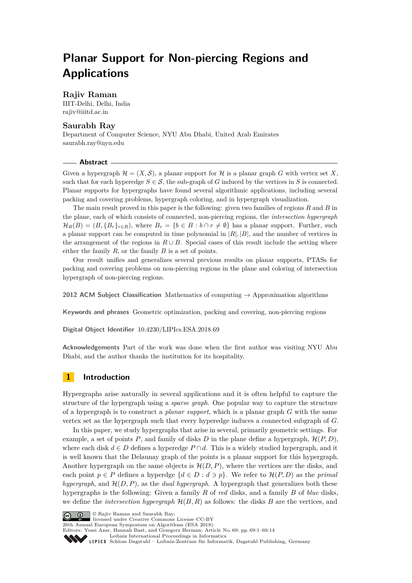# **Planar Support for Non-piercing Regions and Applications**

# **Rajiv Raman**

IIIT-Delhi, Delhi, India [rajiv@iiitd.ac.in](mailto:rajiv@iiitd.ac.in)

# **Saurabh Ray**

Department of Computer Science, NYU Abu Dhabi, United Arab Emirates [saurabh.ray@nyu.edu](mailto:saurabh.ray@nyu.edu)

### **Abstract**

Given a hypergraph  $\mathcal{H} = (X, \mathcal{S})$ , a planar support for  $\mathcal{H}$  is a planar graph *G* with vertex set X, such that for each hyperedge  $S \in \mathcal{S}$ , the sub-graph of *G* induced by the vertices in *S* is connected. Planar supports for hypergraphs have found several algorithmic applications, including several packing and covering problems, hypergraph coloring, and in hypergraph visualization.

The main result proved in this paper is the following: given two families of regions *R* and *B* in the plane, each of which consists of connected, non-piercing regions, the *intersection hypergraph*  $\mathcal{H}_R(B) = (B, \{B_r\}_{r \in R})$ , where  $B_r = \{b \in B : b \cap r \neq \emptyset\}$  has a planar support. Further, such a planar support can be computed in time polynomial in  $|R|, |B|$ , and the number of vertices in the arrangement of the regions in  $R \cup B$ . Special cases of this result include the setting where either the family *R*, or the family *B* is a set of points.

Our result unifies and generalizes several previous results on planar supports, PTASs for packing and covering problems on non-piercing regions in the plane and coloring of intersection hypergraph of non-piercing regions.

**2012 ACM Subject Classification** Mathematics of computing → Approximation algorithms

**Keywords and phrases** Geometric optimization, packing and covering, non-piercing regions

**Digital Object Identifier** [10.4230/LIPIcs.ESA.2018.69](http://dx.doi.org/10.4230/LIPIcs.ESA.2018.69)

**Acknowledgements** Part of the work was done when the first author was visiting NYU Abu Dhabi, and the author thanks the institution for its hospitality.

# **1 Introduction**

Hypergraphs arise naturally in several applications and it is often helpful to capture the structure of the hypergraph using a *sparse graph*. One popular way to capture the structure of a hypergraph is to construct a *planar support*, which is a planar graph *G* with the same vertex set as the hypergraph such that every hyperedge induces a connected subgraph of *G*.

In this paper, we study hypergraphs that arise in several, primarily geometric settings. For example, a set of points  $P$ , and family of disks  $D$  in the plane define a hypergraph,  $\mathcal{H}(P, D)$ , where each disk  $d \in D$  defines a hyperedge  $P \cap d$ . This is a widely studied hypergraph, and it is well known that the Delaunay graph of the points is a planar support for this hypergraph. Another hypergraph on the same objects is  $\mathcal{H}(D, P)$ , where the vertices are the disks, and each point  $p \in P$  defines a hyperdge  $\{d \in D : d \ni p\}$ . We refer to  $\mathcal{H}(P, D)$  as the *primal hypergraph*, and  $\mathcal{H}(D, P)$ , as the *dual hypergraph*. A hypergraph that generalizes both these hypergraphs is the following: Given a family *R* of *red* disks, and a family *B* of *blue* disks, we define the *intersection hypergraph* H(*B, R*) as follows: the disks *B* are the vertices, and



licensed under Creative Commons License CC-BY

26th Annual European Symposium on Algorithms (ESA 2018).

Editors: Yossi Azar, Hannah Bast, and Grzegorz Herman; Article No. 69; pp. 69:1–69[:14](#page-13-0) [Leibniz International Proceedings in Informatics](http://www.dagstuhl.de/lipics/)

[Schloss Dagstuhl – Leibniz-Zentrum für Informatik, Dagstuhl Publishing, Germany](http://www.dagstuhl.de)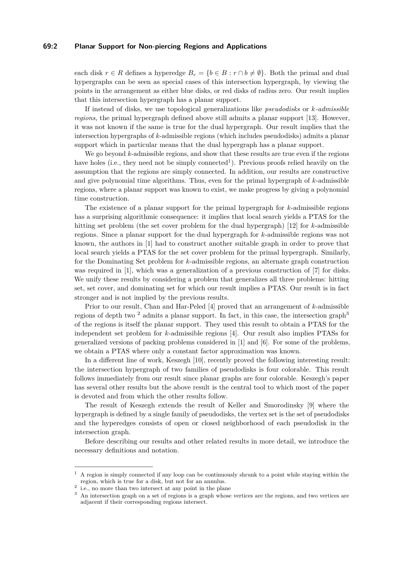### **69:2 Planar Support for Non-piercing Regions and Applications**

each disk  $r \in R$  defines a hyperedge  $B_r = \{b \in B : r \cap b \neq \emptyset\}$ . Both the primal and dual hypergraphs can be seen as special cases of this intersection hypergraph, by viewing the points in the arrangement as either blue disks, or red disks of radius zero. Our result implies that this intersection hypergraph has a planar support.

If instead of disks, we use topological generalizations like *pseudodisks* or *k-admissible regions*, the primal hypergraph defined above still admits a planar support [\[13\]](#page-13-1). However, it was not known if the same is true for the dual hypergraph. Our result implies that the intersection hypergraphs of *k*-admissible regions (which includes pseudodisks) admits a planar support which in particular means that the dual hypergraph has a planar support.

We go beyond *k*-admissible regions, and show that these results are true even if the regions have holes (i.e., they need not be simply connected<sup>[1](#page-1-0)</sup>). Previous proofs relied heavily on the assumption that the regions are simply connected. In addition, our results are constructive and give polynomial time algorithms. Thus, even for the primal hypergraph of *k*-admissible regions, where a planar support was known to exist, we make progress by giving a polynomial time construction.

The existence of a planar support for the primal hypergraph for *k*-admissible regions has a surprising algorithmic consequence: it implies that local search yields a PTAS for the hitting set problem (the set cover problem for the dual hypergraph) [\[12\]](#page-13-2) for *k*-admissible regions. Since a planar support for the dual hypergraph for *k*-admissible regions was not known, the authors in [\[1\]](#page-12-0) had to construct another suitable graph in order to prove that local search yields a PTAS for the set cover problem for the primal hypergraph. Similarly, for the Dominating Set problem for *k*-admissible regions, an alternate graph construction was required in [\[1\]](#page-12-0), which was a generalization of a previous construction of [\[7\]](#page-12-1) for disks. We unify these results by considering a problem that generalizes all three problems: hitting set, set cover, and dominating set for which our result implies a PTAS. Our result is in fact stronger and is not implied by the previous results.

Prior to our result, Chan and Har-Peled [\[4\]](#page-12-2) proved that an arrangement of *k*-admissible regions of depth two <sup>[2](#page-1-1)</sup> admits a planar support. In fact, in this case, the intersection graph<sup>[3](#page-1-2)</sup> of the regions is itself the planar support. They used this result to obtain a PTAS for the independent set problem for *k*-admissible regions [\[4\]](#page-12-2). Our result also implies PTASs for generalized versions of packing problems considered in [\[1\]](#page-12-0) and [\[6\]](#page-12-3). For some of the problems, we obtain a PTAS where only a constant factor approximation was known.

In a different line of work, Keszegh [\[10\]](#page-12-4), recently proved the following interesting result: the intersection hypergraph of two families of pseudodisks is four colorable. This result follows immediately from our result since planar graphs are four colorable. Keszegh's paper has several other results but the above result is the central tool to which most of the paper is devoted and from which the other results follow.

The result of Keszegh extends the result of Keller and Smorodinsky [\[9\]](#page-12-5) where the hypergraph is defined by a single family of pseudodisks, the vertex set is the set of pseudodisks and the hyperedges consists of open or closed neighborhood of each pseudodisk in the intersection graph.

Before describing our results and other related results in more detail, we introduce the necessary definitions and notation.

<span id="page-1-0"></span><sup>1</sup> A region is simply connected if any loop can be continuously shrunk to a point while staying within the region, which is true for a disk, but not for an annulus. 2

<span id="page-1-1"></span>i.e., no more than two intersect at any point in the plane

<span id="page-1-2"></span><sup>&</sup>lt;sup>3</sup> An intersection graph on a set of regions is a graph whose vertices are the regions, and two vertices are adjacent if their corresponding regions intersect.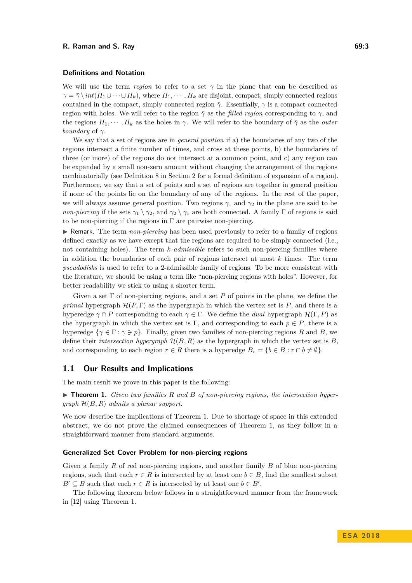### **Definitions and Notation**

We will use the term *region* to refer to a set  $\gamma$  in the plane that can be described as  $\gamma = \bar{\gamma} \setminus int(H_1 \cup \cdots \cup H_k)$ , where  $H_1, \cdots, H_k$  are disjoint, compact, simply connected regions contained in the compact, simply connected region  $\bar{\gamma}$ . Essentially,  $\gamma$  is a compact connected region with holes. We will refer to the region  $\bar{\gamma}$  as the *filled region* corresponding to  $\gamma$ , and the regions  $H_1, \dots, H_k$  as the holes in  $\gamma$ . We will refer to the boundary of  $\overline{\gamma}$  as the *outer boundary* of  $\gamma$ .

We say that a set of regions are in *general position* if a) the boundaries of any two of the regions intersect a finite number of times, and cross at these points, b) the boundaries of three (or more) of the regions do not intersect at a common point, and c) any region can be expanded by a small non-zero amount without changing the arrangement of the regions combinatorially (see Definition [8](#page-6-0) in Section [2](#page-5-0) for a formal definition of expansion of a region). Furthermore, we say that a set of points and a set of regions are together in general position if none of the points lie on the boundary of any of the regions. In the rest of the paper, we will always assume general position. Two regions  $\gamma_1$  and  $\gamma_2$  in the plane are said to be *non-piercing* if the sets  $\gamma_1 \setminus \gamma_2$ , and  $\gamma_2 \setminus \gamma_1$  are both connected. A family  $\Gamma$  of regions is said to be non-piercing if the regions in  $\Gamma$  are pairwise non-piercing.

I Remark. The term *non-piercing* has been used previously to refer to a family of regions defined exactly as we have except that the regions are required to be simply connected (i.e., not containing holes). The term *k-admissible* refers to such non-piercing families where in addition the boundaries of each pair of regions intersect at most *k* times. The term *pseudodisks* is used to refer to a 2-admissible family of regions. To be more consistent with the literature, we should be using a term like "non-piercing regions with holes". However, for better readability we stick to using a shorter term.

Given a set Γ of non-piercing regions, and a set *P* of points in the plane, we define the *primal* hypergraph  $\mathcal{H}(P,\Gamma)$  as the hypergraph in which the vertex set is P, and there is a hyperedge  $\gamma \cap P$  corresponding to each  $\gamma \in \Gamma$ . We define the *dual* hypergraph  $\mathcal{H}(\Gamma, P)$  as the hypergraph in which the vertex set is Γ, and corresponding to each  $p \in P$ , there is a hyperedge  $\{\gamma \in \Gamma : \gamma \ni p\}$ . Finally, given two families of non-piercing regions *R* and *B*, we define their *intersection hypergraph* H(*B, R*) as the hypergraph in which the vertex set is *B*, and corresponding to each region  $r \in R$  there is a hyperedge  $B_r = \{b \in B : r \cap b \neq \emptyset\}$ .

## **1.1 Our Results and Implications**

The main result we prove in this paper is the following:

<span id="page-2-0"></span>▶ **Theorem 1.** *Given two families R and B of non-piercing regions, the intersection hypergraph* H(*B, R*) *admits a planar support.*

We now describe the implications of Theorem [1.](#page-2-0) Due to shortage of space in this extended abstract, we do not prove the claimed consequences of Theorem [1,](#page-2-0) as they follow in a straightforward manner from standard arguments.

### **Generalized Set Cover Problem for non-piercing regions**

Given a family *R* of red non-piercing regions, and another family *B* of blue non-piercing regions, such that each  $r \in R$  is intersected by at least one  $b \in B$ , find the smallest subset  $B' \subseteq B$  such that each  $r \in R$  is intersected by at least one  $b \in B'$ .

The following theorem below follows in a straightforward manner from the framework in [\[12\]](#page-13-2) using Theorem [1.](#page-2-0)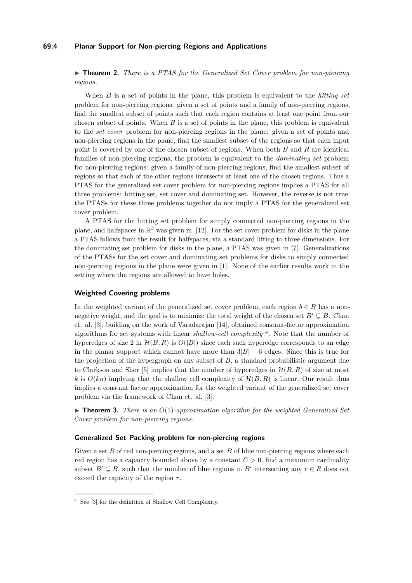### **69:4 Planar Support for Non-piercing Regions and Applications**

**► Theorem 2.** *There is a PTAS for the Generalized Set Cover problem for non-piercing regions.*

When *B* is a set of points in the plane, this problem is equivalent to the *hitting set* problem for non-piercing regions: given a set of points and a family of non-piercing regions, find the smallest subset of points such that each region contains at least one point from our chosen subset of points. When *R* is a set of points in the plane, this problem is equivalent to the *set cover* problem for non-piercing regions in the plane: given a set of points and non-piercing regions in the plane, find the smallest subset of the regions so that each input point is covered by one of the chosen subset of regions. When both *B* and *R* are identical families of non-piercing regions, the problem is equivalent to the *dominating set* problem for non-piercing regions: given a family of non-piercing regions, find the smallest subset of regions so that each of the other regions intersects at least one of the chosen regions. Thus a PTAS for the generalized set cover problem for non-piercing regions implies a PTAS for all three problems: hitting set, set cover and dominating set. However, the reverse is not true: the PTASs for these three problems together do not imply a PTAS for the generalized set cover problem.

A PTAS for the hitting set problem for simply connected non-piercing regions in the plane, and halfspaces in  $\mathbb{R}^3$  was given in [\[12\]](#page-13-2). For the set cover problem for disks in the plane a PTAS follows from the result for halfspaces, via a standard lifting to three dimensions. For the dominating set problem for disks in the plane, a PTAS was given in [\[7\]](#page-12-1). Generalizations of the PTASs for the set cover and dominating set problems for disks to simply connected non-piercing regions in the plane were given in [\[1\]](#page-12-0). None of the earlier results work in the setting where the regions are allowed to have holes.

#### **Weighted Covering problems**

In the weighted variant of the generalized set cover problem, each region  $b \in B$  has a nonnegative weight, and the goal is to minimize the total weight of the chosen set  $B' \subseteq B$ . Chan et. al. [\[3\]](#page-12-6), building on the work of Varadarajan [\[14\]](#page-13-3), obtained constant-factor approximation algorithms for set systems with linear *shallow-cell complexity* [4](#page-3-0) . Note that the number of hyperedges of size 2 in  $\mathcal{H}(B, R)$  is  $O(|B|)$  since each such hyperedge corresponds to an edge in the planar support which cannot have more than  $3|B| - 6$  edges. Since this is true for the projection of the hypergraph on any subset of *B*, a standard probabilistic argument due to Clarkson and Shor [\[5\]](#page-12-7) implies that the number of hyperedges in  $\mathcal{H}(B, R)$  of size at most *k* is  $O(kn)$  implying that the shallow cell complexity of  $\mathcal{H}(B, R)$  is linear. Our result thus implies a constant factor approximation for the weighted variant of the generalized set cover problem via the framework of Chan et. al. [\[3\]](#page-12-6).

 $\triangleright$  **Theorem 3.** *There is an*  $O(1)$ *-approximation algorithm for the weighted Generalized Set Cover problem for non-piercing regions.*

### **Generalized Set Packing problem for non-piercing regions**

Given a set R of red non-piercing regions, and a set B of blue non-piercing regions where each red region has a capacity bounded above by a constant *C >* 0, find a maximum cardinality subset  $B' \subseteq B$ , such that the number of blue regions in  $B'$  intersecting any  $r \in R$  does not exceed the capacity of the region *r*.

<span id="page-3-0"></span><sup>4</sup> See [\[3\]](#page-12-6) for the definition of Shallow Cell Complexity.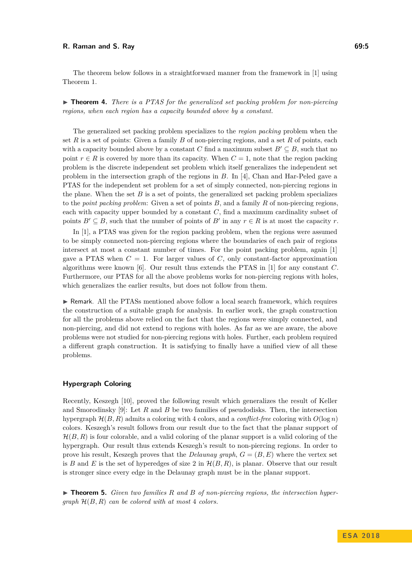The theorem below follows in a straightforward manner from the framework in [\[1\]](#page-12-0) using Theorem [1.](#page-2-0)

▶ **Theorem 4.** *There is a PTAS for the generalized set packing problem for non-piercing regions, when each region has a capacity bounded above by a constant.*

The generalized set packing problem specializes to the *region packing* problem when the set *R* is a set of points: Given a family *B* of non-piercing regions, and a set *R* of points, each with a capacity bounded above by a constant *C* find a maximum subset  $B' \subseteq B$ , such that no point  $r \in R$  is covered by more than its capacity. When  $C = 1$ , note that the region packing problem is the discrete independent set problem which itself generalizes the independent set problem in the intersection graph of the regions in *B*. In [\[4\]](#page-12-2), Chan and Har-Peled gave a PTAS for the independent set problem for a set of simply connected, non-piercing regions in the plane. When the set  $B$  is a set of points, the generalized set packing problem specializes to the *point packing problem*: Given a set of points *B*, and a family *R* of non-piercing regions, each with capacity upper bounded by a constant *C*, find a maximum cardinality subset of points  $B' \subseteq B$ , such that the number of points of *B'* in any  $r \in R$  is at most the capacity *r*.

In [\[1\]](#page-12-0), a PTAS was given for the region packing problem, when the regions were assumed to be simply connected non-piercing regions where the boundaries of each pair of regions intersect at most a constant number of times. For the point packing problem, again [\[1\]](#page-12-0) gave a PTAS when  $C = 1$ . For larger values of  $C$ , only constant-factor approximation algorithms were known [\[6\]](#page-12-3). Our result thus extends the PTAS in [\[1\]](#page-12-0) for any constant *C*. Furthermore, our PTAS for all the above problems works for non-piercing regions with holes, which generalizes the earlier results, but does not follow from them.

I Remark. All the PTASs mentioned above follow a local search framework, which requires the construction of a suitable graph for analysis. In earlier work, the graph construction for all the problems above relied on the fact that the regions were simply connected, and non-piercing, and did not extend to regions with holes. As far as we are aware, the above problems were not studied for non-piercing regions with holes. Further, each problem required a different graph construction. It is satisfying to finally have a unified view of all these problems.

### **Hypergraph Coloring**

Recently, Keszegh [\[10\]](#page-12-4), proved the following result which generalizes the result of Keller and Smorodinsky [\[9\]](#page-12-5): Let *R* and *B* be two families of pseudodisks. Then, the intersection hypergraph  $\mathcal{H}(B, R)$  admits a coloring with 4 colors, and a *conflict-free* coloring with  $O(\log n)$ colors. Keszegh's result follows from our result due to the fact that the planar support of  $\mathcal{H}(B, R)$  is four colorable, and a valid coloring of the planar support is a valid coloring of the hypergraph. Our result thus extends Keszegh's result to non-piercing regions. In order to prove his result, Keszegh proves that the *Delaunay graph*, *G* = (*B, E*) where the vertex set is *B* and *E* is the set of hyperedges of size 2 in  $\mathcal{H}(B, R)$ , is planar. Observe that our result is stronger since every edge in the Delaunay graph must be in the planar support.

▶ **Theorem 5.** *Given two families R and B of non-piercing regions, the intersection hypergraph* H(*B, R*) *can be colored with at most* 4 *colors.*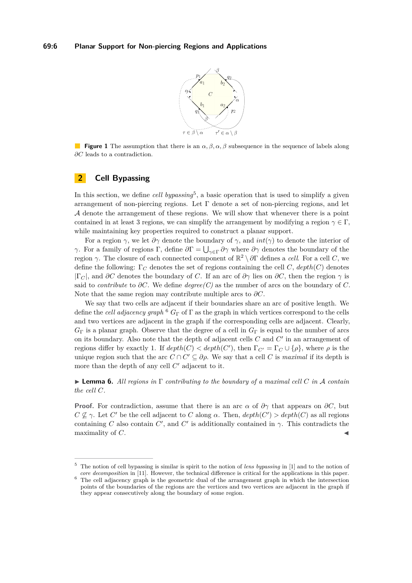

<span id="page-5-3"></span>**Figure 1** The assumption that there is an *α, β, α, β* subsequence in the sequence of labels along *∂C* leads to a contradiction.

# <span id="page-5-0"></span>**2 Cell Bypassing**

In this section, we define *cell bypassing*<sup>[5](#page-5-1)</sup>, a basic operation that is used to simplify a given arrangement of non-piercing regions. Let  $\Gamma$  denote a set of non-piercing regions, and let A denote the arrangement of these regions. We will show that whenever there is a point contained in at least 3 regions, we can simplify the arrangement by modifying a region  $\gamma \in \Gamma$ , while maintaining key properties required to construct a planar support.

For a region  $\gamma$ , we let  $\partial \gamma$  denote the boundary of  $\gamma$ , and  $int(\gamma)$  to denote the interior of *γ*. For a family of regions  $\Gamma$ , define  $\partial \Gamma = \bigcup_{\gamma \in \Gamma} \partial \gamma$  where  $\partial \gamma$  denotes the boundary of the region *γ*. The closure of each connected component of  $\mathbb{R}^2 \setminus \partial \Gamma$  defines a *cell*. For a cell *C*, we define the following: Γ*<sup>C</sup>* denotes the set of regions containing the cell *C*, *depth*(*C*) denotes  $|\Gamma_C|$ , and  $\partial C$  denotes the boundary of *C*. If an arc of  $\partial \gamma$  lies on  $\partial C$ , then the region  $\gamma$  is said to *contribute* to *∂C*. We define *degree(C)* as the number of arcs on the boundary of *C*. Note that the same region may contribute multiple arcs to *∂C*.

We say that two cells are adjacent if their boundaries share an arc of positive length. We define the *cell adjacency graph* [6](#page-5-2) *G*<sup>Γ</sup> of Γ as the graph in which vertices correspond to the cells and two vertices are adjacent in the graph if the corresponding cells are adjacent. Clearly,  $G_{\Gamma}$  is a planar graph. Observe that the degree of a cell in  $G_{\Gamma}$  is equal to the number of arcs on its boundary. Also note that the depth of adjacent cells  $C$  and  $C'$  in an arrangement of regions differ by exactly 1. If  $depth(C) < depth(C')$ , then  $\Gamma_{C'} = \Gamma_C \cup \{\rho\}$ , where  $\rho$  is the unique region such that the arc  $C \cap C' \subseteq \partial \rho$ . We say that a cell *C* is *maximal* if its depth is more than the depth of any cell  $C'$  adjacent to it.

I **Lemma 6.** *All regions in* Γ *contributing to the boundary of a maximal cell C in* A *contain the cell C.*

**Proof.** For contradiction, assume that there is an arc  $\alpha$  of  $\partial\gamma$  that appears on  $\partial C$ , but  $C \nsubseteq \gamma$ . Let *C*<sup>*'*</sup> be the cell adjacent to *C* along  $\alpha$ . Then, *depth*(*C'*) > *depth*(*C*) as all regions containing *C* also contain  $C'$ , and  $C'$  is additionally contained in  $\gamma$ . This contradicts the maximality of *C*.

<span id="page-5-1"></span><sup>5</sup> The notion of cell bypassing is similar is spirit to the notion of *lens bypassing* in [\[1\]](#page-12-0) and to the notion of *core decomposition* in [\[11\]](#page-13-4). However, the technical difference is critical for the applications in this paper.

<span id="page-5-2"></span><sup>6</sup> The cell adjacency graph is the geometric dual of the arrangement graph in which the intersection points of the boundaries of the regions are the vertices and two vertices are adjacent in the graph if they appear consecutively along the boundary of some region.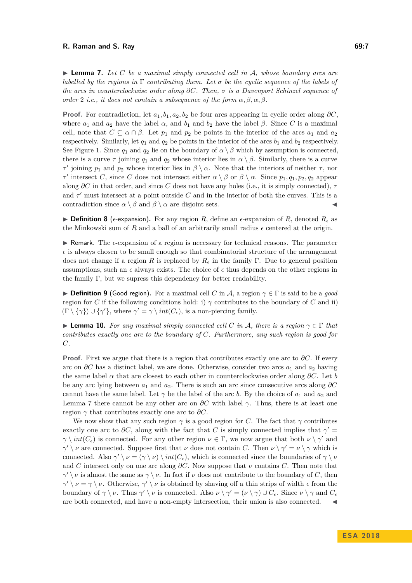<span id="page-6-1"></span>► **Lemma 7.** Let C be a maximal simply connected cell in A, whose boundary arcs are *labelled by the regions in* Γ *contributing them. Let σ be the cyclic sequence of the labels of the arcs in counterclockwise order along ∂C. Then, σ is a Davenport Schinzel sequence of order* 2 *i.e., it does not contain a subsequence of the form*  $\alpha, \beta, \alpha, \beta$ *.* 

**Proof.** For contradiction, let  $a_1, b_1, a_2, b_2$  be four arcs appearing in cyclic order along  $\partial C$ , where  $a_1$  and  $a_2$  have the label  $\alpha$ , and  $b_1$  and  $b_2$  have the label  $\beta$ . Since *C* is a maximal cell, note that  $C \subseteq \alpha \cap \beta$ . Let  $p_1$  and  $p_2$  be points in the interior of the arcs  $a_1$  and  $a_2$ respectively. Similarly, let  $q_1$  and  $q_2$  be points in the interior of the arcs  $b_1$  and  $b_2$  respectively. See Figure [1.](#page-5-3) Since  $q_1$  and  $q_2$  lie on the boundary of  $\alpha \setminus \beta$  which by assumption is connected, there is a curve  $\tau$  joining  $q_1$  and  $q_2$  whose interior lies in  $\alpha \setminus \beta$ . Similarly, there is a curve *τ*<sup>*τ*</sup> joining *p*<sub>1</sub> and *p*<sub>2</sub> whose interior lies in  $β \setminus α$ . Note that the interiors of neither *τ*, nor *τ*<sup>*t*</sup> intersect *C*, since *C* does not intersect either  $\alpha \setminus \beta$  or  $\beta \setminus \alpha$ . Since  $p_1, q_1, p_2, q_2$  appear along *∂C* in that order, and since *C* does not have any holes (i.e., it is simply connected), *τ* and  $\tau'$  must intersect at a point outside C and in the interior of both the curves. This is a contradiction since  $\alpha \setminus \beta$  and  $\beta \setminus \alpha$  are disjoint sets.

<span id="page-6-0"></span>**Definition 8** ( $\epsilon$ -expansion). For any region *R*, define an  $\epsilon$ -expansion of *R*, denoted  $R_{\epsilon}$  as the Minkowski sum of  $R$  and a ball of an arbitrarily small radius  $\epsilon$  centered at the origin.

 $\triangleright$  Remark. The  $\epsilon$ -expansion of a region is necessary for technical reasons. The parameter  $\epsilon$  is always chosen to be small enough so that combinatorial structure of the arrangement does not change if a region *R* is replaced by  $R_{\epsilon}$  in the family Γ. Due to general position assumptions, such an  $\epsilon$  always exists. The choice of  $\epsilon$  thus depends on the other regions in the family Γ, but we supress this dependency for better readability.

**Definition 9** (Good region). For a maximal cell *C* in A, a region  $\gamma \in \Gamma$  is said to be a *good* region for *C* if the following conditions hold: i)  $\gamma$  contributes to the boundary of *C* and ii)  $(\Gamma \setminus \{\gamma\}) \cup \{\gamma'\},\$  where  $\gamma' = \gamma \setminus int(C_{\epsilon}),\$  is a non-piercing family.

<span id="page-6-2"></span>**I Lemma 10.** For any maximal simply connected cell C in A, there is a region  $\gamma \in \Gamma$  that *contributes exactly one arc to the boundary of C. Furthermore, any such region is good for C.*

**Proof.** First we argue that there is a region that contributes exactly one arc to *∂C*. If every arc on *∂C* has a distinct label, we are done. Otherwise, consider two arcs *a*<sup>1</sup> and *a*<sup>2</sup> having the same label  $\alpha$  that are closest to each other in counterclockwise order along  $\partial C$ . Let *b* be any arc lying between *a*<sup>1</sup> and *a*2. There is such an arc since consecutive arcs along *∂C* cannot have the same label. Let  $\gamma$  be the label of the arc *b*. By the choice of  $a_1$  and  $a_2$  and Lemma [7](#page-6-1) there cannot be any other arc on  $\partial C$  with label  $\gamma$ . Thus, there is at least one region  $\gamma$  that contributes exactly one arc to  $\partial C$ .

We now show that any such region  $\gamma$  is a good region for *C*. The fact that  $\gamma$  contributes exactly one arc to  $\partial C$ , along with the fact that *C* is simply connected implies that  $\gamma' =$  $\gamma \setminus int(C_{\epsilon})$  is connected. For any other region  $\nu \in \Gamma$ , we now argue that both  $\nu \setminus \gamma'$  and  $\gamma' \setminus \nu$  are connected. Suppose first that  $\nu$  does not contain *C*. Then  $\nu \setminus \gamma' = \nu \setminus \gamma$  which is connected. Also  $\gamma' \setminus \nu = (\gamma \setminus \nu) \setminus int(C_{\epsilon})$ , which is connected since the boundaries of  $\gamma \setminus \nu$ and *C* intersect only on one arc along  $\partial C$ . Now suppose that  $\nu$  contains *C*. Then note that  $\gamma' \setminus \nu$  is almost the same as  $\gamma \setminus \nu$ . In fact if  $\nu$  does not contribute to the boundary of *C*, then  $\gamma' \setminus \nu = \gamma \setminus \nu$ . Otherwise,  $\gamma' \setminus \nu$  is obtained by shaving off a thin strips of width  $\epsilon$  from the boundary of  $\gamma \setminus \nu$ . Thus  $\gamma' \setminus \nu$  is connected. Also  $\nu \setminus \gamma' = (\nu \setminus \gamma) \cup C_{\epsilon}$ . Since  $\nu \setminus \gamma$  and  $C_{\epsilon}$ are both connected, and have a non-empty intersection, their union is also connected.  $\blacktriangleleft$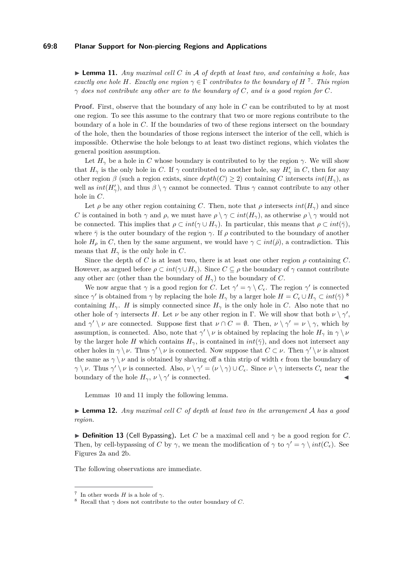### **69:8 Planar Support for Non-piercing Regions and Applications**

<span id="page-7-2"></span> $\triangleright$  **Lemma 11.** *Any maximal cell C in A of depth at least two, and containing a hole, has exactly one hole H*. Exactly one region  $\gamma \in \Gamma$  *contributes to the boundary of H*<sup>[7](#page-7-0)</sup>. This region *γ does not contribute any other arc to the boundary of C, and is a good region for C.*

**Proof.** First, observe that the boundary of any hole in *C* can be contributed to by at most one region. To see this assume to the contrary that two or more regions contribute to the boundary of a hole in *C*. If the boundaries of two of these regions intersect on the boundary of the hole, then the boundaries of those regions intersect the interior of the cell, which is impossible. Otherwise the hole belongs to at least two distinct regions, which violates the general position assumption.

Let  $H_{\gamma}$  be a hole in *C* whose boundary is contributed to by the region  $\gamma$ . We will show that  $H_{\gamma}$  is the only hole in *C*. If  $\gamma$  contributed to another hole, say  $H'_{\gamma}$  in *C*, then for any other region *β* (such a region exists, since  $depth(C) \geq 2$ ) containing *C* intersects  $int(H_{\gamma})$ , as well as  $int(H'_{\gamma})$ , and thus  $\beta \setminus \gamma$  cannot be connected. Thus  $\gamma$  cannot contribute to any other hole in *C*.

Let  $\rho$  be any other region containing *C*. Then, note that  $\rho$  intersects *int*( $H_{\gamma}$ ) and since *C* is contained in both *γ* and *ρ*, we must have  $\rho \setminus \gamma \subset int(H_{\gamma})$ , as otherwise  $\rho \setminus \gamma$  would not be connected. This implies that  $\rho \subset int(\gamma \cup H_\gamma)$ . In particular, this means that  $\rho \subset int(\bar{\gamma})$ , where  $\bar{\gamma}$  is the outer boundary of the region  $\gamma$ . If  $\rho$  contributed to the boundary of another hole  $H_{\rho}$  in *C*, then by the same argument, we would have  $\gamma \subset int(\bar{\rho})$ , a contradiction. This means that  $H_{\gamma}$  is the only hole in *C*.

Since the depth of *C* is at least two, there is at least one other region  $\rho$  containing *C*. However, as argued before  $\rho \subset int(\gamma \cup H_\gamma)$ . Since  $C \subseteq \rho$  the boundary of  $\gamma$  cannot contribute any other arc (other than the boundary of  $H<sub>\gamma</sub>$ ) to the boundary of *C*.

We now argue that  $\gamma$  is a good region for *C*. Let  $\gamma' = \gamma \setminus C_{\epsilon}$ . The region  $\gamma'$  is connected since  $\gamma'$  is obtained from  $\gamma$  by replacing the hole  $H_{\gamma}$  by a larger hole  $H = C_{\epsilon} \cup H_{\gamma} \subset int(\bar{\gamma})$ <sup>[8](#page-7-1)</sup> containing  $H_\gamma$ . *H* is simply connected since  $H_\gamma$  is the only hole in *C*. Also note that no other hole of  $\gamma$  intersects *H*. Let *ν* be any other region in Γ. We will show that both  $\nu \setminus \gamma'$ , and  $\gamma' \setminus \nu$  are connected. Suppose first that  $\nu \cap C = \emptyset$ . Then,  $\nu \setminus \gamma' = \nu \setminus \gamma$ , which by assumption, is connected. Also, note that  $\gamma' \setminus \nu$  is obtained by replacing the hole  $H_{\gamma}$  in  $\gamma \setminus \nu$ by the larger hole *H* which contains  $H_{\gamma}$ , is contained in  $int(\bar{\gamma})$ , and does not intersect any other holes in  $\gamma \setminus \nu$ . Thus  $\gamma' \setminus \nu$  is connected. Now suppose that  $C \subset \nu$ . Then  $\gamma' \setminus \nu$  is almost the same as  $\gamma \setminus \nu$  and is obtained by shaving off a thin strip of width  $\epsilon$  from the boundary of *γ*  $\setminus$  *ν*. Thus *γ*<sup>'</sup>  $\setminus$  *ν* is connected. Also, *ν*  $\setminus$  *γ*<sup>'</sup> = (*ν*  $\setminus$ *γ*) ∪ *C*<sub>*ε*</sub>. Since *ν*  $\setminus$  *γ* intersects *C*<sub>*ε*</sub> near the boundary of the hole  $H_{\gamma}$ ,  $\nu \setminus \gamma'$  is connected.

Lemmas [10](#page-6-2) and [11](#page-7-2) imply the following lemma.

<span id="page-7-3"></span>I **Lemma 12.** *Any maximal cell C of depth at least two in the arrangement* A *has a good region.*

**Definition 13** (Cell Bypassing). Let *C* be a maximal cell and  $\gamma$  be a good region for *C*. Then, by cell-bypassing of *C* by  $\gamma$ , we mean the modification of  $\gamma$  to  $\gamma' = \gamma \setminus int(C_{\epsilon})$ . See Figures [2a](#page-8-0) and [2b.](#page-8-0)

The following observations are immediate.

<span id="page-7-0"></span><sup>&</sup>lt;sup>7</sup> In other words *H* is a hole of  $\gamma$ .

<span id="page-7-1"></span><sup>&</sup>lt;sup>8</sup> Recall that  $\gamma$  does not contribute to the outer boundary of *C*.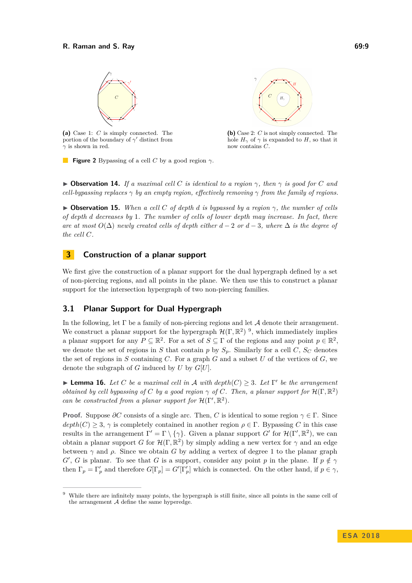<span id="page-8-0"></span>

**(a)** Case 1: *C* is simply connected. The portion of the boundary of  $\gamma'$  distinct from *γ* is shown in red.



**(b)** Case 2: *C* is not simply connected. The hole  $H_{\gamma}$  of  $\gamma$  is expanded to *H*, so that it now contains *C*.

**Figure 2** Bypassing of a cell *C* by a good region *γ*.

 $\triangleright$  **Observation 14.** *If a maximal cell C is identical to a region*  $\gamma$ *, then*  $\gamma$  *is good for C and cell-bypassing replaces γ by an empty region, effectively removing γ from the family of regions.*

<span id="page-8-2"></span> $\triangleright$  **Observation 15.** *When a cell C of depth d is bypassed by a region*  $\gamma$ *, the number of cells of depth d decreases by* 1*. The number of cells of lower depth may increase. In fact, there are at most*  $O(\Delta)$  *newly created cells of depth either*  $d-2$  *or*  $d-3$ *, where*  $\Delta$  *is the degree of the cell C.*

# <span id="page-8-4"></span>**3 Construction of a planar support**

We first give the construction of a planar support for the dual hypergraph defined by a set of non-piercing regions, and all points in the plane. We then use this to construct a planar support for the intersection hypergraph of two non-piercing families.

## **3.1 Planar Support for Dual Hypergraph**

In the following, let  $\Gamma$  be a family of non-piercing regions and let  $\mathcal A$  denote their arrangement. We construct a planar support for the hypergraph  $\mathcal{H}(\Gamma,\mathbb{R}^2)$ <sup>[9](#page-8-1)</sup>, which immediately implies a planar support for any  $P \subseteq \mathbb{R}^2$ . For a set of  $S \subseteq \Gamma$  of the regions and any point  $p \in \mathbb{R}^2$ , we denote the set of regions in *S* that contain *p* by  $S_p$ . Similarly for a cell *C*,  $S_C$  denotes the set of regions in  $S$  containing  $C$ . For a graph  $G$  and a subset  $U$  of the vertices of  $G$ , we denote the subgraph of *G* induced by *U* by *G*[*U*].

<span id="page-8-3"></span>**Lemma 16.** Let C be a maximal cell in A with  $depth(C) \geq 3$ . Let  $\Gamma'$  be the arrangement *obtained by cell bypassing of C by a good region*  $\gamma$  *of C. Then, a planar support for*  $\mathcal{H}(\Gamma, \mathbb{R}^2)$ *can be constructed from a planar support for*  $\mathcal{H}(\Gamma', \mathbb{R}^2)$ *.* 

**Proof.** Suppose  $\partial C$  consists of a single arc. Then, *C* is identical to some region  $\gamma \in \Gamma$ . Since  $depth(C) \geq 3$ ,  $\gamma$  is completely contained in another region  $\rho \in \Gamma$ . Bypassing *C* in this case results in the arrangement  $\Gamma' = \Gamma \setminus \{\gamma\}$ . Given a planar support *G*<sup> $\prime$ </sup> for  $\mathcal{H}(\Gamma', \mathbb{R}^2)$ , we can obtain a planar support *G* for  $\mathcal{H}(\Gamma, \mathbb{R}^2)$  by simply adding a new vertex for  $\gamma$  and an edge between  $\gamma$  and  $\rho$ . Since we obtain *G* by adding a vertex of degree 1 to the planar graph *G*<sup>'</sup>, *G* is planar. To see that *G* is a support, consider any point *p* in the plane. If  $p \notin \gamma$ then  $\Gamma_p = \Gamma'_p$  and therefore  $G[\Gamma_p] = G'[\Gamma'_p]$  which is connected. On the other hand, if  $p \in \gamma$ ,

<span id="page-8-1"></span><sup>9</sup> While there are infinitely many points, the hypergraph is still finite, since all points in the same cell of the arrangement  $A$  define the same hyperedge.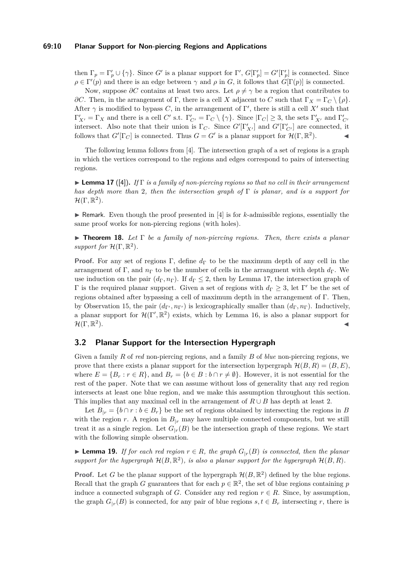### **69:10 Planar Support for Non-piercing Regions and Applications**

then  $\Gamma_p = \Gamma'_p \cup \{\gamma\}$ . Since *G*<sup>*i*</sup> is a planar support for  $\Gamma'$ ,  $G[\Gamma'_p] = G'[\Gamma'_p]$  is connected. Since  $\rho \in \Gamma'(p)$  and there is an edge between  $\gamma$  and  $\rho$  in *G*, it follows that *G*[Γ(*p*)] is connected.

Now, suppose  $\partial C$  contains at least two arcs. Let  $\rho \neq \gamma$  be a region that contributes to *∂C*. Then, in the arrangement of Γ, there is a cell *X* adjacent to *C* such that  $\Gamma_X = \Gamma_C \setminus \{\rho\}.$ After  $\gamma$  is modified to bypass *C*, in the arrangement of  $\Gamma'$ , there is still a cell X' such that  $\Gamma'_{X'} = \Gamma_X$  and there is a cell *C*' s.t.  $\Gamma'_{C'} = \Gamma_C \setminus \{\gamma\}$ . Since  $|\Gamma_C| \geq 3$ , the sets  $\Gamma'_{X'}$  and  $\Gamma'_{C'}$ intersect. Also note that their union is  $\Gamma_C$ . Since  $G'[\Gamma'_{X'}]$  and  $G'[\Gamma'_{C'}]$  are connected, it follows that  $G'[\Gamma_C]$  is connected. Thus  $G = G'$  is a planar support for  $\mathcal{H}(\Gamma, \mathbb{R}^2)$ .

The following lemma follows from [\[4\]](#page-12-2). The intersection graph of a set of regions is a graph in which the vertices correspond to the regions and edges correspond to pairs of intersecting regions.

<span id="page-9-0"></span>I **Lemma 17** ([\[4\]](#page-12-2))**.** *If* Γ *is a family of non-piercing regions so that no cell in their arrangement has depth more than* 2*, then the intersection graph of* Γ *is planar, and is a support for*  $\mathcal{H}(\Gamma,\mathbb{R}^2)$ .

 $\triangleright$  Remark. Even though the proof presented in [\[4\]](#page-12-2) is for *k*-admissible regions, essentially the same proof works for non-piercing regions (with holes).

I **Theorem 18.** *Let* Γ *be a family of non-piercing regions. Then, there exists a planar* support for  $\mathcal{H}(\Gamma, \mathbb{R}^2)$ .

**Proof.** For any set of regions Γ, define  $d_{\Gamma}$  to be the maximum depth of any cell in the arrangement of Γ, and  $n_{\Gamma}$  to be the number of cells in the arrangment with depth  $d_{\Gamma}$ . We use induction on the pair  $(d_{\Gamma}, n_{\Gamma})$ . If  $d_{\Gamma} \leq 2$ , then by Lemma [17,](#page-9-0) the intersection graph of  $Γ$  is the required planar support. Given a set of regions with  $d<sub>Γ</sub> ≥ 3$ , let Γ' be the set of regions obtained after bypassing a cell of maximum depth in the arrangement of Γ. Then, by Observation [15,](#page-8-2) the pair  $(d_{\Gamma}, n_{\Gamma})$  is lexicographically smaller than  $(d_{\Gamma}, n_{\Gamma})$ . Inductively, a planar support for  $\mathcal{H}(\Gamma', \mathbb{R}^2)$  exists, which by Lemma [16,](#page-8-3) is also a planar support for  $\mathcal{H} (\Gamma,\mathbb{R}^2)$  $\blacksquare$ ).

## **3.2 Planar Support for the Intersection Hypergraph**

Given a family *R* of *red* non-piercing regions, and a family *B* of *blue* non-piercing regions, we prove that there exists a planar support for the intersection hypergraph  $\mathcal{H}(B, R) = (B, E),$ where  $E = \{B_r : r \in R\}$ , and  $B_r = \{b \in B : b \cap r \neq \emptyset\}$ . However, it is not essential for the rest of the paper. Note that we can assume without loss of generality that any red region intersects at least one blue region, and we make this assumption throughout this section. This implies that any maximal cell in the arrangement of  $R \cup B$  has depth at least 2.

Let  $B_{|r} = \{b \cap r : b \in B_r\}$  be the set of regions obtained by intersecting the regions in *B* with the region *r*. A region in  $B_{|r}$  may have multiple connected components, but we still treat it as a single region. Let  $G_{r}(B)$  be the intersection graph of these regions. We start with the following simple observation.

<span id="page-9-1"></span>▶ **Lemma 19.** *If for each red region*  $r \in R$ *, the graph*  $G_{|r}(B)$  *is connected, then the planar* support for the hypergraph  $\mathcal{H}(B,\mathbb{R}^2)$ , is also a planar support for the hypergraph  $\mathcal{H}(B,R)$ .

**Proof.** Let *G* be the planar support of the hypergraph  $\mathcal{H}(B,\mathbb{R}^2)$  defined by the blue regions. Recall that the graph *G* guarantees that for each  $p \in \mathbb{R}^2$ , the set of blue regions containing *p* induce a connected subgraph of *G*. Consider any red region  $r \in R$ . Since, by assumption, the graph  $G_{\vert r}(B)$  is connected, for any pair of blue regions  $s, t \in B_r$  intersecting r, there is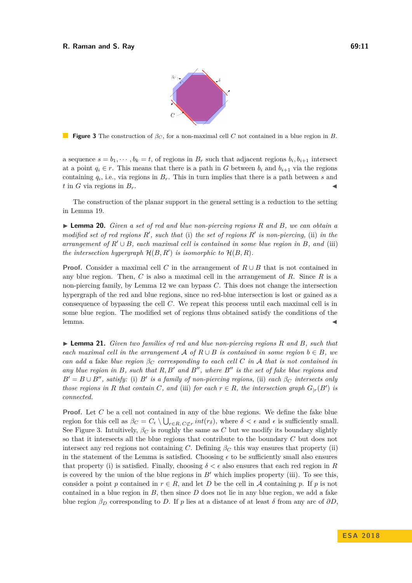

<span id="page-10-0"></span>**Figure 3** The construction of *β<sup>C</sup>* , for a non-maximal cell *C* not contained in a blue region in *B*.

a sequence  $s = b_1, \dots, b_k = t$ , of regions in  $B_r$  such that adjacent regions  $b_i, b_{i+1}$  intersect at a point  $q_i \in r$ . This means that there is a path in *G* between  $b_i$  and  $b_{i+1}$  via the regions containing  $q_i$ , i.e., via regions in  $B_r$ . This in turn implies that there is a path between *s* and  $t$  in *G* via regions in  $B_r$ .

The construction of the planar support in the general setting is a reduction to the setting in Lemma [19.](#page-9-1)

<span id="page-10-1"></span>I **Lemma 20.** *Given a set of red and blue non-piercing regions R and B, we can obtain a modified set of red regions*  $R'$ , such that (i) the set of regions  $R'$  is non-piercing, (ii) in the *arrangement of*  $R' \cup B$ *, each maximal cell is contained in some blue region in*  $B$ *, and* (iii) *the intersection hypergraph*  $\mathcal{H}(B, R')$  *is isomorphic to*  $\mathcal{H}(B, R)$ *.* 

**Proof.** Consider a maximal cell *C* in the arrangement of *R* ∪ *B* that is not contained in any blue region. Then, *C* is also a maximal cell in the arrangement of *R*. Since *R* is a non-piercing family, by Lemma [12](#page-7-3) we can bypass *C*. This does not change the intersection hypergraph of the red and blue regions, since no red-blue intersection is lost or gained as a consequence of bypassing the cell *C*. We repeat this process until each maximal cell is in some blue region. The modified set of regions thus obtained satisfy the conditions of the  $l$ emma.  $\blacksquare$ 

<span id="page-10-2"></span>I **Lemma 21.** *Given two families of red and blue non-piercing regions R and B, such that each maximal cell in the arrangement*  $A \text{ of } R \cup B$  *is contained in some region*  $b \in B$ *, we can add a* fake *blue region*  $\beta_C$  *corresponding to each cell C in A that is not contained in any blue region in*  $B$ *, such that*  $R$ *, B<sup>1</sup> and B<sup>n</sup>, where B<sup>n</sup> is the set of fake blue regions and*  $B' = B \cup B''$ , satisfy: (i) *B*<sup>*i*</sup> is a family of non-piercing regions, (ii) each  $\beta_C$  intersects only *those regions in R that contain C, and* (iii) *for each*  $r \in R$ *, the intersection graph*  $G_{|r}(B')$  *is connected.*

**Proof.** Let *C* be a cell not contained in any of the blue regions. We define the fake blue region for this cell as  $\beta_C = C_{\epsilon} \setminus \bigcup_{r \in R, C \not\subset r} int(r_\delta)$ , where  $\delta < \epsilon$  and  $\epsilon$  is sufficiently small. See Figure [3.](#page-10-0) Intuitively,  $\beta_C$  is roughly the same as C but we modify its boundary slightly so that it intersects all the blue regions that contribute to the boundary *C* but does not intersect any red regions not containing *C*. Defining  $\beta_C$  this way ensures that property (ii) in the statement of the Lemma is satisfied. Choosing  $\epsilon$  to be sufficiently small also ensures that property (i) is satisfied. Finally, choosing  $\delta < \epsilon$  also ensures that each red region in R is covered by the union of the blue regions in  $B'$  which implies property (iii). To see this, consider a point *p* contained in  $r \in R$ , and let *D* be the cell in *A* containing *p*. If *p* is not contained in a blue region in *B*, then since *D* does not lie in any blue region, we add a fake blue region  $\beta_D$  corresponding to *D*. If *p* lies at a distance of at least  $\delta$  from any arc of  $\partial D$ ,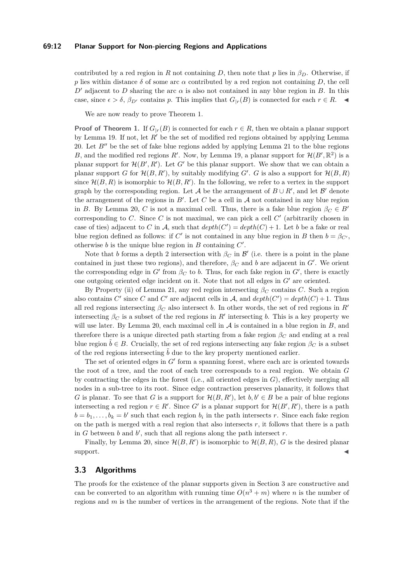### **69:12 Planar Support for Non-piercing Regions and Applications**

contributed by a red region in *R* not containing *D*, then note that *p* lies in  $\beta_D$ . Otherwise, if *p* lies within distance  $\delta$  of some arc  $\alpha$  contributed by a red region not containing *D*, the cell  $D<sup>0</sup>$  adjacent to *D* sharing the arc  $\alpha$  is also not contained in any blue region in *B*. In this case, since  $\epsilon > \delta$ ,  $\beta_{D'}$  contains *p*. This implies that  $G_{|r}(B)$  is connected for each  $r \in R$ .

We are now ready to prove Theorem [1.](#page-2-0)

**Proof of Theorem [1.](#page-2-0)** If  $G_{n}(B)$  is connected for each  $r \in R$ , then we obtain a planar support by Lemma [19.](#page-9-1) If not, let  $R'$  be the set of modified red regions obtained by applying Lemma [20.](#page-10-1) Let  $B''$  be the set of fake blue regions added by applying Lemma [21](#page-10-2) to the blue regions *B*, and the modified red regions *R'*. Now, by Lemma [19,](#page-9-1) a planar support for  $\mathcal{H}(B', \mathbb{R}^2)$  is a planar support for  $\mathcal{H}(B', R')$ . Let  $G'$  be this planar support. We show that we can obtain a planar support *G* for  $\mathcal{H}(B, R')$ , by suitably modifying *G'*. *G* is also a support for  $\mathcal{H}(B, R)$ since  $\mathcal{H}(B,R)$  is isomorphic to  $\mathcal{H}(B,R')$ . In the following, we refer to a vertex in the support graph by the corresponding region. Let A be the arrangement of  $B \cup R'$ , and let B' denote the arrangement of the regions in  $B'$ . Let  $C$  be a cell in  $A$  not contained in any blue region in *B*. By Lemma [20,](#page-10-1) *C* is not a maximal cell. Thus, there is a fake blue region  $\beta_C \in B'$ corresponding to  $C$ . Since  $C$  is not maximal, we can pick a cell  $C'$  (arbitrarily chosen in case of ties) adjacent to *C* in *A*, such that  $depth(C') = depth(C) + 1$ . Let *b* be a fake or real blue region defined as follows: if *C'* is not contained in any blue region in *B* then  $b = \beta_{C'}$ , otherwise  $b$  is the unique blue region in  $B$  containing  $C'$ .

Note that *b* forms a depth 2 intersection with  $\beta_C$  in  $\mathcal{B}'$  (i.e. there is a point in the plane contained in just these two regions), and therefore,  $\beta_C$  and *b* are adjacent in *G'*. We orient the corresponding edge in  $G'$  from  $\beta_C$  to *b*. Thus, for each fake region in  $G'$ , there is exactly one outgoing oriented edge incident on it. Note that not all edges in  $G<sup>0</sup>$  are oriented.

By Property (ii) of Lemma [21,](#page-10-2) any red region intersecting *β<sup>C</sup>* contains *C*. Such a region also contains *C'* since *C* and *C'* are adjacent cells in A, and  $depth(C') = depth(C) + 1$ . Thus all red regions intersecting  $\beta_C$  also intersect *b*. In other words, the set of red regions in *R*<sup>0</sup> intersecting  $\beta_C$  is a subset of the red regions in  $R'$  intersecting *b*. This is a key property we will use later. By Lemma [20,](#page-10-1) each maximal cell in  $A$  is contained in a blue region in  $B$ , and therefore there is a unique directed path starting from a fake region  $\beta_C$  and ending at a real blue region  $\tilde{b} \in B$ . Crucially, the set of red regions intersecting any fake region  $\beta_C$  is a subset of the red regions intersecting  $\tilde{b}$  due to the key property mentioned earlier.

The set of oriented edges in  $G'$  form a spanning forest, where each arc is oriented towards the root of a tree, and the root of each tree corresponds to a real region. We obtain *G* by contracting the edges in the forest (i.e., all oriented edges in *G*), effectively merging all nodes in a sub-tree to its root. Since edge contraction preserves planarity, it follows that *G* is planar. To see that *G* is a support for  $\mathcal{H}(B, R')$ , let  $b, b' \in B$  be a pair of blue regions intersecting a red region  $r \in R'$ . Since G' is a planar support for  $\mathcal{H}(B', R')$ , there is a path  $b = b_1, \ldots, b_k = b'$  such that each region  $b_i$  in the path intersects *r*. Since each fake region on the path is merged with a real region that also intersects  $r$ , it follows that there is a path in  $G$  between  $b$  and  $b'$ , such that all regions along the path intersect  $r$ .

Finally, by Lemma [20,](#page-10-1) since  $\mathcal{H}(B, R')$  is isomorphic to  $\mathcal{H}(B, R)$ , *G* is the desired planar  $\blacksquare$ support.

### **3.3 Algorithms**

The proofs for the existence of the planar supports given in Section [3](#page-8-4) are constructive and can be converted to an algorithm with running time  $O(n^3 + m)$  where *n* is the number of regions and *m* is the number of vertices in the arrangement of the regions. Note that if the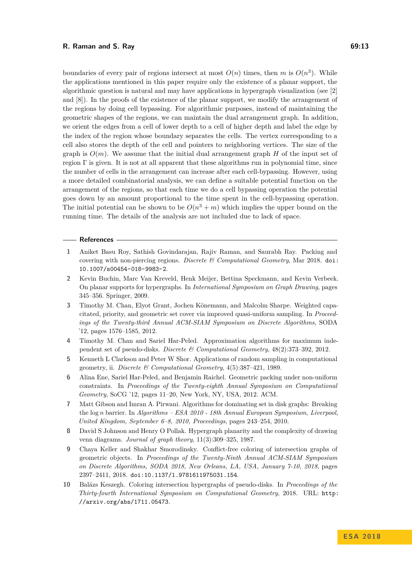boundaries of every pair of regions intersect at most  $O(n)$  times, then *m* is  $O(n^3)$ . While the applications mentioned in this paper require only the existence of a planar support, the algorithmic question is natural and may have applications in hypergraph visualization (see [\[2\]](#page-12-8) and [\[8\]](#page-12-9)). In the proofs of the existence of the planar support, we modify the arrangement of the regions by doing cell bypassing. For algorithmic purposes, instead of maintaining the geometric shapes of the regions, we can maintain the dual arrangement graph. In addition, we orient the edges from a cell of lower depth to a cell of higher depth and label the edge by the index of the region whose boundary separates the cells. The vertex corresponding to a cell also stores the depth of the cell and pointers to neighboring vertices. The size of the graph is  $O(m)$ . We assume that the initial dual arrangement graph *H* of the input set of region  $\Gamma$  is given. It is not at all apparent that these algorithms run in polynomial time, since the number of cells in the arrangement can increase after each cell-bypassing. However, using a more detailed combinatorial analysis, we can define a suitable potential function on the arrangement of the regions, so that each time we do a cell bypassing operation the potential goes down by an amount proportional to the time spent in the cell-bypassing operation. The initial potential can be shown to be  $O(n^3 + m)$  which implies the upper bound on the running time. The details of the analysis are not included due to lack of space.

### **References**

- <span id="page-12-0"></span>**1** Aniket Basu Roy, Sathish Govindarajan, Rajiv Raman, and Saurabh Ray. Packing and covering with non-piercing regions. *Discrete & Computational Geometry*, Mar 2018. [doi:](http://dx.doi.org/10.1007/s00454-018-9983-2) [10.1007/s00454-018-9983-2](http://dx.doi.org/10.1007/s00454-018-9983-2).
- <span id="page-12-8"></span>**2** Kevin Buchin, Marc Van Kreveld, Henk Meijer, Bettina Speckmann, and Kevin Verbeek. On planar supports for hypergraphs. In *International Symposium on Graph Drawing*, pages 345–356. Springer, 2009.
- <span id="page-12-6"></span>**3** Timothy M. Chan, Elyot Grant, Jochen Könemann, and Malcolm Sharpe. Weighted capacitated, priority, and geometric set cover via improved quasi-uniform sampling. In *Proceedings of the Twenty-third Annual ACM-SIAM Symposium on Discrete Algorithms*, SODA '12, pages 1576–1585, 2012.
- <span id="page-12-2"></span>**4** Timothy M. Chan and Sariel Har-Peled. Approximation algorithms for maximum independent set of pseudo-disks. *Discrete & Computational Geometry*, 48(2):373–392, 2012.
- <span id="page-12-7"></span>**5** Kenneth L Clarkson and Peter W Shor. Applications of random sampling in computational geometry, ii. *Discrete & Computational Geometry*, 4(5):387–421, 1989.
- <span id="page-12-3"></span>**6** Alina Ene, Sariel Har-Peled, and Benjamin Raichel. Geometric packing under non-uniform constraints. In *Proceedings of the Twenty-eighth Annual Symposium on Computational Geometry*, SoCG '12, pages 11–20, New York, NY, USA, 2012. ACM.
- <span id="page-12-1"></span>**7** Matt Gibson and Imran A. Pirwani. Algorithms for dominating set in disk graphs: Breaking the log *n* barrier. In *Algorithms – ESA 2010 - 18th Annual European Symposium, Liverpool, United Kingdom, September 6–8, 2010, Proceedings*, pages 243–254, 2010.
- <span id="page-12-9"></span>**8** David S Johnson and Henry O Pollak. Hypergraph planarity and the complexity of drawing venn diagrams. *Journal of graph theory*, 11(3):309–325, 1987.
- <span id="page-12-5"></span>**9** Chaya Keller and Shakhar Smorodinsky. Conflict-free coloring of intersection graphs of geometric objects. In *Proceedings of the Twenty-Ninth Annual ACM-SIAM Symposium on Discrete Algorithms, SODA 2018, New Orleans, LA, USA, January 7-10, 2018*, pages 2397–2411, 2018. [doi:10.1137/1.9781611975031.154](http://dx.doi.org/10.1137/1.9781611975031.154).
- <span id="page-12-4"></span>**10** Balázs Keszegh. Coloring intersection hypergraphs of pseudo-disks. In *Proceedings of the Thirty-fourth International Symposium on Computational Geometry*, 2018. URL: [http:](http://arxiv.org/abs/1711.05473) [//arxiv.org/abs/1711.05473](http://arxiv.org/abs/1711.05473).